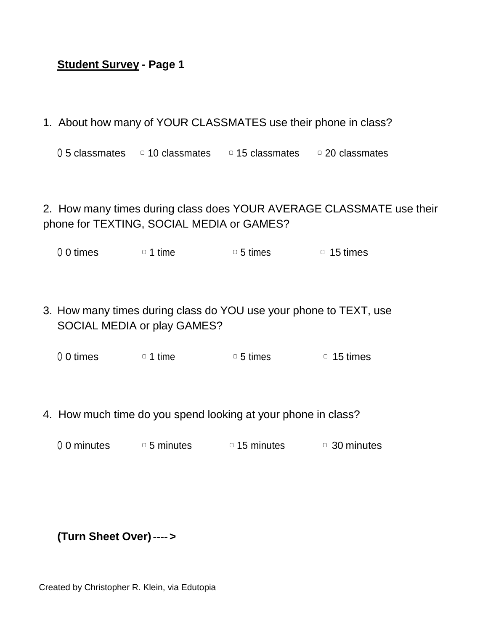## **Student Survey - Page 1**

1. About how many of YOUR CLASSMATES use their phone in class?

 $0.5$  classmates  $0.5$  10 classmates  $0.5$  classmates  $0.20$  classmates

2. How many times during class does YOUR AVERAGE CLASSMATE use their phone for TEXTING, SOCIAL MEDIA or GAMES?

O 0 times  $\circ$  1 time  $\circ$  5 times  $\circ$  15 times

3. How many times during class do YOU use your phone to TEXT, use SOCIAL MEDIA or play GAMES?

0 0 times  $\Box$  1 time  $\Box$  5 times  $\Box$  15 times

- 4. How much time do you spend looking at your phone in class?
	- $0.0$  minutes  $0.5$  minutes  $0.15$  minutes  $0.30$  minutes

## **(Turn Sheet Over)---->**